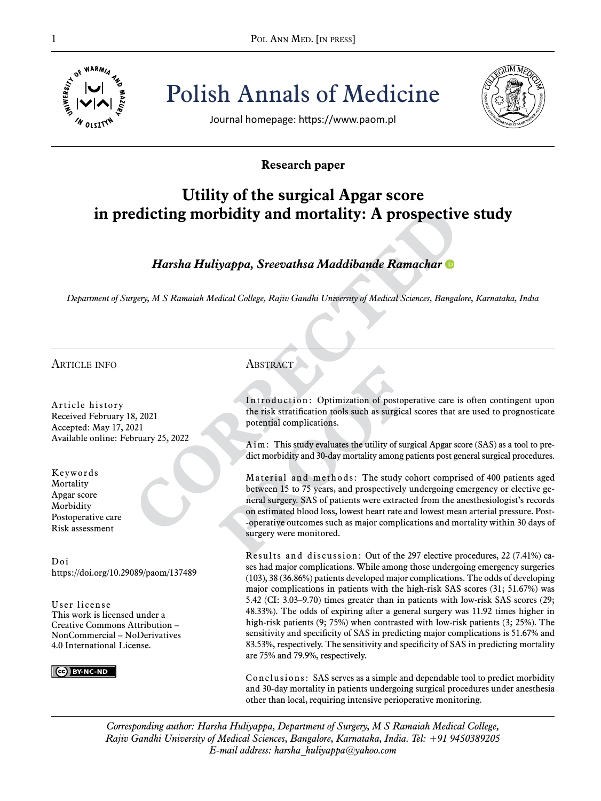

POL ANN MED. [IN PRESS] Polish Annals of Medicine



Journal homepage: https://www.paom.pl

## **Research paper**

# **Utility of the surgical Apgar score in predicting morbidity and mortality: A prospective study**

## *Harsha Huliyappa, Sreevathsa Maddibande Ramachar*

*Department of Surgery, M S Ramaiah Medical College, Rajiv Gandhi University of Medical Sciences, Bangalore, Karnataka, India*

#### article info

Article history Received February 18, 2021 Accepted: May 17, 2021 Available online: February 25, 2022

Keywords **Mortality** Apgar score **Morbidity** Postoperative care Risk assessment

Doi https://doi.org/10.29089/paom/137489

User license This work is licensed under a Creative Commons Attribution – NonCommercial – NoDerivatives 4.0 International License.

CC BY-NC-ND

### **ABSTRACT**

Introduction: Optimization of postoperative care is often contingent upon the risk stratification tools such as surgical scores that are used to prognosticate potential complications.

Aim: This study evaluates the utility of surgical Apgar score (SAS) as a tool to predict morbidity and 30-day mortality among patients post general surgical procedures.

Material and methods: The study cohort comprised of 400 patients aged between 15 to 75 years, and prospectively undergoing emergency or elective general surgery. SAS of patients were extracted from the anesthesiologist's records on estimated blood loss, lowest heart rate and lowest mean arterial pressure. Post- -operative outcomes such as major complications and mortality within 30 days of surgery were monitored.

Results and discussion: Out of the 297 elective procedures, 22 (7.41%) cases had major complications. While among those undergoing emergency surgeries (103), 38 (36.86%) patients developed major complications. The odds of developing major complications in patients with the high-risk SAS scores (31; 51.67%) was 5.42 (CI: 3.03–9.70) times greater than in patients with low-risk SAS scores (29; 48.33%). The odds of expiring after a general surgery was 11.92 times higher in high-risk patients (9; 75%) when contrasted with low-risk patients (3; 25%). The sensitivity and specificity of SAS in predicting major complications is 51.67% and 83.53%, respectively. The sensitivity and specificity of SAS in predicting mortality are 75% and 79.9%, respectively.

Conclusions: SAS serves as a simple and dependable tool to predict morbidity and 30-day mortality in patients undergoing surgical procedures under anesthesia other than local, requiring intensive perioperative monitoring.

*Corresponding author: Harsha Huliyappa, Department of Surgery, M S Ramaiah Medical College, Rajiv Gandhi University of Medical Sciences, Bangalore, Karnataka, India. Tel: +91 9450389205 E-mail address: harsha\_huliyappa@yahoo.com*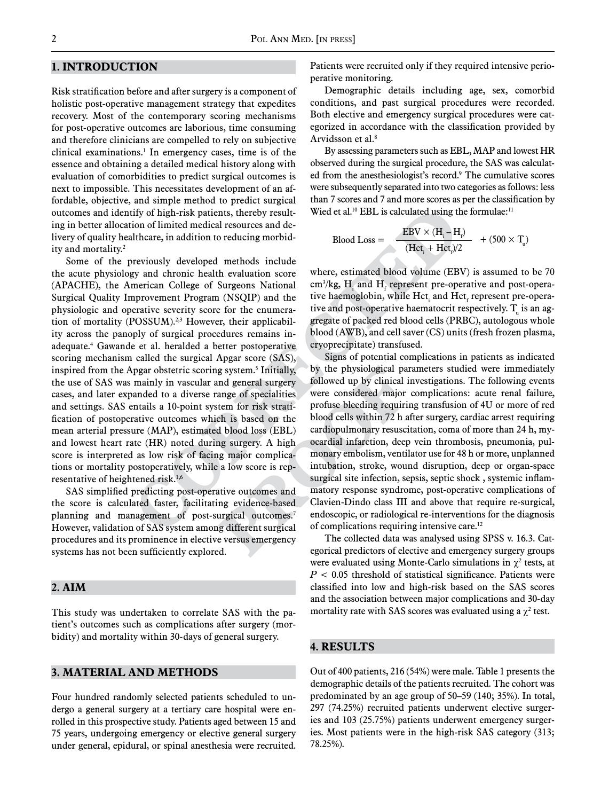#### **1. Introduction**

Risk stratification before and after surgery is a component of holistic post-operative management strategy that expedites recovery. Most of the contemporary scoring mechanisms for post-operative outcomes are laborious, time consuming and therefore clinicians are compelled to rely on subjective clinical examinations.1 In emergency cases, time is of the essence and obtaining a detailed medical history along with evaluation of comorbidities to predict surgical outcomes is next to impossible. This necessitates development of an affordable, objective, and simple method to predict surgical outcomes and identify of high-risk patients, thereby resulting in better allocation of limited medical resources and delivery of quality healthcare, in addition to reducing morbidity and mortality.2

Some of the previously developed methods include the acute physiology and chronic health evaluation score (APACHE), the American College of Surgeons National Surgical Quality Improvement Program (NSQIP) and the physiologic and operative severity score for the enumeration of mortality (POSSUM).<sup>2,3</sup> However, their applicability across the panoply of surgical procedures remains inadequate.4 Gawande et al. heralded a better postoperative scoring mechanism called the surgical Apgar score (SAS), inspired from the Apgar obstetric scoring system.5 Initially, the use of SAS was mainly in vascular and general surgery cases, and later expanded to a diverse range of specialities and settings. SAS entails a 10-point system for risk stratification of postoperative outcomes which is based on the mean arterial pressure (MAP), estimated blood loss (EBL) and lowest heart rate (HR) noted during surgery. A high score is interpreted as low risk of facing major complications or mortality postoperatively, while a low score is representative of heightened risk.1,6

SAS simplified predicting post-operative outcomes and the score is calculated faster, facilitating evidence-based planning and management of post-surgical outcomes.<sup>7</sup> However, validation of SAS system among different surgical procedures and its prominence in elective versus emergency systems has not been sufficiently explored.

#### **2. Aim**

This study was undertaken to correlate SAS with the patient's outcomes such as complications after surgery (morbidity) and mortality within 30-days of general surgery.

#### **3. Material and methods**

Four hundred randomly selected patients scheduled to undergo a general surgery at a tertiary care hospital were enrolled in this prospective study. Patients aged between 15 and 75 years, undergoing emergency or elective general surgery under general, epidural, or spinal anesthesia were recruited.

Patients were recruited only if they required intensive perioperative monitoring.

Demographic details including age, sex, comorbid conditions, and past surgical procedures were recorded. Both elective and emergency surgical procedures were categorized in accordance with the classification provided by Arvidsson et al.<sup>8</sup>

By assessing parameters such as EBL, MAP and lowest HR observed during the surgical procedure, the SAS was calculated from the anesthesiologist's record.<sup>9</sup> The cumulative scores were subsequently separated into two categories as follows: less than 7 scores and 7 and more scores as per the classification by Wied et al.<sup>10</sup> EBL is calculated using the formulae:<sup>11</sup>

Blood Loss =

\n
$$
\frac{\text{EBV} \times (\text{H}_{i} - \text{H}_{i})}{(\text{Hct}_{i} + \text{Hct}_{i})/2} + (500 \times \text{T}_{u})
$$

where, estimated blood volume (EBV) is assumed to be 70 cm<sup>3</sup>/kg,  $H_i$  and  $H_f$  represent pre-operative and post-operative haemoglobin, while  $\text{Hct}_{i}$  and  $\text{Hct}_{f}$  represent pre-operative and post-operative haematocrit respectively.  $T_{\text{u}}$  is an aggregate of packed red blood cells (PRBC), autologous whole blood (AWB), and cell saver (CS) units (fresh frozen plasma, cryoprecipitate) transfused.

Signs of potential complications in patients as indicated by the physiological parameters studied were immediately followed up by clinical investigations. The following events were considered major complications: acute renal failure, profuse bleeding requiring transfusion of 4U or more of red blood cells within 72 h after surgery, cardiac arrest requiring cardiopulmonary resuscitation, coma of more than 24 h, myocardial infarction, deep vein thrombosis, pneumonia, pulmonary embolism, ventilator use for 48 h or more, unplanned intubation, stroke, wound disruption, deep or organ-space surgical site infection, sepsis, septic shock , systemic inflammatory response syndrome, post-operative complications of Clavien-Dindo class III and above that require re-surgical, endoscopic, or radiological re-interventions for the diagnosis of complications requiring intensive care.12

The collected data was analysed using SPSS v. 16.3. Categorical predictors of elective and emergency surgery groups were evaluated using Monte-Carlo simulations in  $\chi^2$  tests, at *P* < 0.05 threshold of statistical significance. Patients were classified into low and high-risk based on the SAS scores and the association between major complications and 30-day mortality rate with SAS scores was evaluated using a  $\chi^2$  test.

#### **4. RESULTS**

Out of 400 patients, 216 (54%) were male. Table 1 presents the demographic details of the patients recruited. The cohort was predominated by an age group of 50–59 (140; 35%). In total, 297 (74.25%) recruited patients underwent elective surgeries and 103 (25.75%) patients underwent emergency surgeries. Most patients were in the high-risk SAS category (313; 78.25%).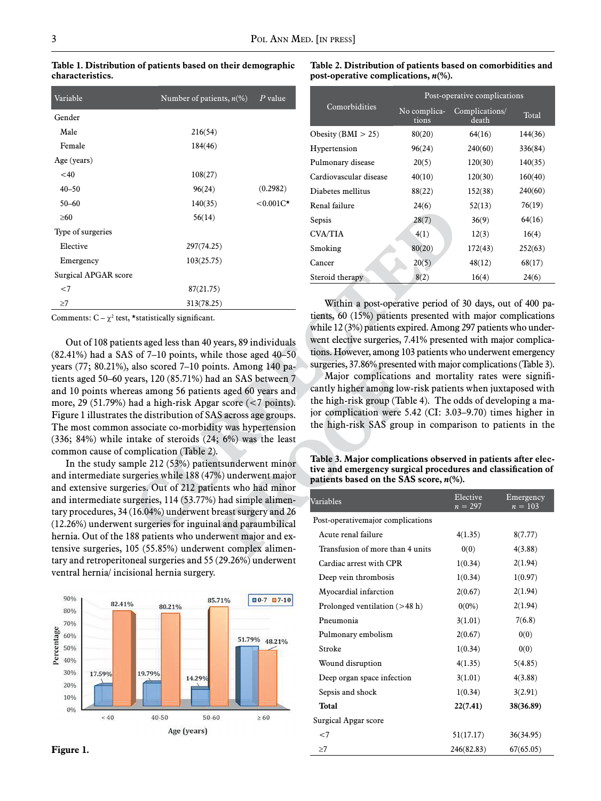**Table 1. Distribution of patients based on their demographic characteristics.**

**Table 2. Distribution of patients based on comorbidities and post-operative complications,** *n***(%).**

| Variable             | Number of patients, $n\ll 0$ | $P$ value    |
|----------------------|------------------------------|--------------|
| Gender               |                              |              |
| Male                 | 216(54)                      |              |
| Female               | 184(46)                      |              |
| Age (years)          |                              |              |
| $<$ 40               | 108(27)                      |              |
| $40 - 50$            | 96(24)                       | (0.2982)     |
| $50 - 60$            | 140(35)                      | $< 0.001C^*$ |
| $\geq 60$            | 56(14)                       |              |
| Type of surgeries    |                              |              |
| Elective             | 297(74.25)                   |              |
| Emergency            | 103(25.75)                   |              |
| Surgical APGAR score |                              |              |
| $<$ 7                | 87(21.75)                    |              |
| $\geq$ 7             | 313(78.25)                   |              |

Comments:  $C - \chi^2$  test, \*statistically significant.

Out of 108 patients aged less than 40 years, 89 individuals  $(82.41\%)$  had a SAS of 7–10 points, while those aged 40–50 years (77; 80.21%), also scored 7–10 points. Among 140 patients aged 50–60 years, 120 (85.71%) had an SAS between 7 and 10 points whereas among 56 patients aged 60 years and more, 29 (51.79%) had a high-risk Apgar score (<7 points). Figure 1 illustrates the distribution of SAS across age groups. The most common associate co-morbidity was hypertension (336; 84%) while intake of steroids (24; 6%) was the least common cause of complication (Table 2).

In the study sample 212 (53%) patientsunderwent minor and intermediate surgeries while 188 (47%) underwent major and extensive surgeries. Out of 212 patients who had minor and intermediate surgeries, 114 (53.77%) had simple alimentary procedures, 34 (16.04%) underwent breast surgery and 26 (12.26%) underwent surgeries for inguinal and paraumbilical hernia. Out of the 188 patients who underwent major and extensive surgeries, 105 (55.85%) underwent complex alimentary and retroperitoneal surgeries and 55 (29.26%) underwent ventral hernia/ incisional hernia surgery.



|                        | Post-operative complications |                         |         |  |  |
|------------------------|------------------------------|-------------------------|---------|--|--|
| Comorbidities          | No complica-<br>tions        | Complications/<br>death | Total   |  |  |
| Obesity ( $BMI > 25$ ) | 80(20)                       | 64(16)                  | 144(36) |  |  |
| Hypertension           | 96(24)                       | 240(60)                 | 336(84) |  |  |
| Pulmonary disease      | 20(5)                        | 120(30)                 | 140(35) |  |  |
| Cardiovascular disease | 40(10)                       | 120(30)                 | 160(40) |  |  |
| Diabetes mellitus      | 88(22)                       | 152(38)                 | 240(60) |  |  |
| Renal failure          | 24(6)                        | 52(13)                  | 76(19)  |  |  |
| Sepsis                 | 28(7)                        | 36(9)                   | 64(16)  |  |  |
| <b>CVA/TIA</b>         | 4(1)                         | 12(3)                   | 16(4)   |  |  |
| Smoking                | 80(20)                       | 172(43)                 | 252(63) |  |  |
| Cancer                 | 20(5)                        | 48(12)                  | 68(17)  |  |  |
| Steroid therapy        | 8(2)                         | 16(4)                   | 24(6)   |  |  |

Within a post-operative period of 30 days, out of 400 patients, 60 (15%) patients presented with major complications while 12 (3%) patients expired. Among 297 patients who underwent elective surgeries, 7.41% presented with major complications. However, among 103 patients who underwent emergency surgeries, 37.86% presented with major complications (Table 3).

Major complications and mortality rates were significantly higher among low-risk patients when juxtaposed with the high-risk group (Table 4). The odds of developing a major complication were 5.42 (CI: 3.03–9.70) times higher in the high-risk SAS group in comparison to patients in the

**Table 3. Major complications observed in patients after elective and emergency surgical procedures and classification of patients based on the SAS score,** *n***(%).** 

|                                                                                                                                                                                          |        |                                   |                                  | and extensive surgeries. Out or 212 patients who had million<br>and intermediate surgeries, 114 (53.77%) had simple alimen- | Variables                        | Elective<br>$n = 297$ | Emergency<br>$n = 103$ |
|------------------------------------------------------------------------------------------------------------------------------------------------------------------------------------------|--------|-----------------------------------|----------------------------------|-----------------------------------------------------------------------------------------------------------------------------|----------------------------------|-----------------------|------------------------|
| tary procedures, 34 (16.04%) underwent breast surgery and 26<br>(12.26%) underwent surgeries for inguinal and paraumbilical                                                              |        | Post-operativemajor complications |                                  |                                                                                                                             |                                  |                       |                        |
| hernia. Out of the 188 patients who underwent major and ex-<br>tensive surgeries, 105 (55.85%) underwent complex alimen-<br>tary and retroperitoneal surgeries and 55 (29.26%) underwent |        |                                   |                                  | Acute renal failure                                                                                                         | 4(1.35)                          | 8(7.77)               |                        |
|                                                                                                                                                                                          |        |                                   | Transfusion of more than 4 units | 0(0)                                                                                                                        | 4(3.88)                          |                       |                        |
|                                                                                                                                                                                          |        |                                   | Cardiac arrest with CPR          | 1(0.34)                                                                                                                     | 2(1.94)                          |                       |                        |
| ventral hernia/ incisional hernia surgery.                                                                                                                                               |        | Deep vein thrombosis              | 1(0.34)                          | 1(0.97)                                                                                                                     |                                  |                       |                        |
|                                                                                                                                                                                          |        |                                   | Myocardial infarction            | 2(0.67)                                                                                                                     | 2(1.94)                          |                       |                        |
| 90%<br>80%                                                                                                                                                                               | 82.41% | 80.21%                            | 85.71%                           | $0.7$ $0.7.10$                                                                                                              | Prolonged ventilation $($ >48 h) | $0(0\%)$              | 2(1.94)                |
| 70%                                                                                                                                                                                      |        |                                   |                                  |                                                                                                                             | Pneumonia                        | 3(1.01)               | 7(6.8)                 |
| Percentage<br>60%                                                                                                                                                                        |        |                                   |                                  | 51.79% 48.21%                                                                                                               | Pulmonary embolism               | 2(0.67)               | 0(0)                   |
| 50%                                                                                                                                                                                      |        |                                   |                                  |                                                                                                                             | Stroke                           | 1(0.34)               | 0(0)                   |
| 40%                                                                                                                                                                                      |        |                                   |                                  |                                                                                                                             | Wound disruption                 | 4(1.35)               | 5(4.85)                |
| 30%                                                                                                                                                                                      | 17.59% | 19.79%                            | 14.29%                           |                                                                                                                             | Deep organ space infection       | 3(1.01)               | 4(3.88)                |
| 20%                                                                                                                                                                                      |        |                                   |                                  |                                                                                                                             | Sepsis and shock                 | 1(0.34)               | 3(2.91)                |
| 10%<br>0%                                                                                                                                                                                |        |                                   |                                  |                                                                                                                             | <b>Total</b>                     | 22(7.41)              | 38(36.89)              |
|                                                                                                                                                                                          | ~10    | 40-50                             | 50-60                            | $\geq 60$                                                                                                                   | Surgical Apgar score             |                       |                        |
|                                                                                                                                                                                          |        |                                   | Age (years)                      |                                                                                                                             | $<$ 7                            | 51(17.17)             | 36(34.95)              |
| Figure 1.                                                                                                                                                                                |        |                                   |                                  |                                                                                                                             | $\geq$ 7                         | 246(82.83)            | 67(65.05)              |
|                                                                                                                                                                                          |        |                                   |                                  |                                                                                                                             |                                  |                       |                        |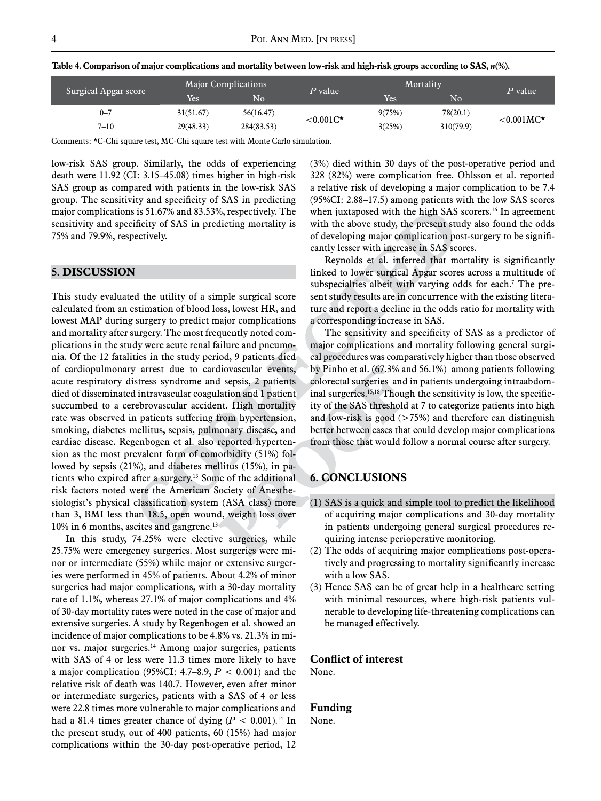| Surgical Apgar score | <b>Major Complications</b> |                        | P value    | Mortality          |                        | $P$ value |                     |
|----------------------|----------------------------|------------------------|------------|--------------------|------------------------|-----------|---------------------|
|                      | Yes.                       | $\overline{\text{No}}$ |            | Yes                | $\overline{\text{No}}$ |           |                     |
| $0 - 7$              |                            | 31(51.67)              | 56(16.47)  | $< 0.001C^{\star}$ | 9(75%)                 | 78(20.1)  | $< 0.001MC^{\star}$ |
| $7 - 10$             |                            | 29(48.33)              | 284(83.53) |                    | 3(25%)                 | 310(79.9) |                     |

Table 4. Comparison of major complications and mortality between low-risk and high-risk groups according to SAS,  $n$ <sup>(%</sup>).

Comments: \*C-Chi square test, MC-Chi square test with Monte Carlo simulation.

low-risk SAS group. Similarly, the odds of experiencing death were 11.92 (CI: 3.15–45.08) times higher in high-risk SAS group as compared with patients in the low-risk SAS group. The sensitivity and specificity of SAS in predicting major complications is 51.67% and 83.53%, respectively. The sensitivity and specificity of SAS in predicting mortality is 75% and 79.9%, respectively.

#### **5. DISCUSSION**

This study evaluated the utility of a simple surgical score calculated from an estimation of blood loss, lowest HR, and lowest MAP during surgery to predict major complications and mortality after surgery. The most frequently noted complications in the study were acute renal failure and pneumonia. Of the 12 fatalities in the study period, 9 patients died of cardiopulmonary arrest due to cardiovascular events, acute respiratory distress syndrome and sepsis, 2 patients died of disseminated intravascular coagulation and 1 patient succumbed to a cerebrovascular accident. High mortality rate was observed in patients suffering from hypertension, smoking, diabetes mellitus, sepsis, pulmonary disease, and cardiac disease. Regenbogen et al. also reported hypertension as the most prevalent form of comorbidity (51%) followed by sepsis (21%), and diabetes mellitus (15%), in patients who expired after a surgery.13 Some of the additional risk factors noted were the American Society of Anesthesiologist's physical classification system (ASA class) more than 3, BMI less than 18.5, open wound, weight loss over 10% in 6 months, ascites and gangrene.<sup>13</sup>

In this study, 74.25% were elective surgeries, while 25.75% were emergency surgeries. Most surgeries were minor or intermediate (55%) while major or extensive surgeries were performed in 45% of patients. About 4.2% of minor surgeries had major complications, with a 30-day mortality rate of 1.1%, whereas 27.1% of major complications and 4% of 30-day mortality rates were noted in the case of major and extensive surgeries. A study by Regenbogen et al. showed an incidence of major complications to be 4.8% vs. 21.3% in minor vs. major surgeries.<sup>14</sup> Among major surgeries, patients with SAS of 4 or less were 11.3 times more likely to have a major complication (95%CI: 4.7–8.9, *P* < 0.001) and the relative risk of death was 140.7. However, even after minor or intermediate surgeries, patients with a SAS of 4 or less were 22.8 times more vulnerable to major complications and had a 81.4 times greater chance of dying  $(P < 0.001)$ .<sup>14</sup> In the present study, out of 400 patients, 60 (15%) had major complications within the 30-day post-operative period, 12 (3%) died within 30 days of the post-operative period and 328 (82%) were complication free. Ohlsson et al. reported a relative risk of developing a major complication to be 7.4 (95%CI: 2.88–17.5) among patients with the low SAS scores when juxtaposed with the high SAS scorers.<sup>16</sup> In agreement with the above study, the present study also found the odds of developing major complication post-surgery to be significantly lesser with increase in SAS scores.

Reynolds et al. inferred that mortality is significantly linked to lower surgical Apgar scores across a multitude of subspecialties albeit with varying odds for each.<sup>7</sup> The present study results are in concurrence with the existing literature and report a decline in the odds ratio for mortality with a corresponding increase in SAS.

The sensitivity and specificity of SAS as a predictor of major complications and mortality following general surgical procedures was comparatively higher than those observed by Pinho et al. (67.3% and 56.1%) among patients following colorectal surgeries and in patients undergoing intraabdominal surgeries.<sup>15,18</sup> Though the sensitivity is low, the specificity of the SAS threshold at 7 to categorize patients into high and low-risk is good  $($ >75%) and therefore can distinguish better between cases that could develop major complications from those that would follow a normal course after surgery.

#### **6. CONCLUSIONS**

- (1) SAS is a quick and simple tool to predict the likelihood of acquiring major complications and 30-day mortality in patients undergoing general surgical procedures requiring intense perioperative monitoring.
- (2) The odds of acquiring major complications post-operatively and progressing to mortality significantly increase with a low SAS.
- (3) Hence SAS can be of great help in a healthcare setting with minimal resources, where high-risk patients vulnerable to developing life-threatening complications can be managed effectively.

#### **Conflict of interest**

None.

#### **Funding**

None.